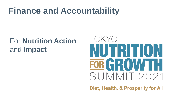# **Finance and Accountability**

# For **Nutrition Action**  and **Impact**



Diet, Health, & Prosperity for All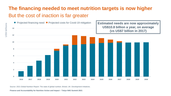#### <span id="page-1-0"></span>**The financing needed to meet nutrition targets is now higher** But the cost of inaction is far greater



Source: 2021 Global Nutrition Report: The state of global nutrition. Bristol, UK: Development Initiatives.

**Finance and Accountability for Nutrition Action and Impact – Tokyo N4G Summit 2021**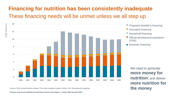### <span id="page-2-0"></span>**Financing for nutrition has been consistently inadequate** These financing needs will be unmet unless we all step up



Source: 2021 Global Nutrition Report: The state of global nutrition. Bristol, UK: Development Initiatives.

**Finance and Accountability for Nutrition Action and Impact – Tokyo N4G Summit 2021**

**US\$ billions**

**more nutrition for the money**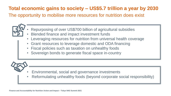#### **Total economic gains to society – US\$5.7 trillion a year by 2030**

The opportunity to mobilise more resources for nutrition does exist



- Repurposing of over US\$700 billion of agricultural subsidies
- Blended finance and impact investment funds
- Leveraging resources for nutrition from universal health coverage
- Grant resources to leverage domestic and ODA financing
- Fiscal policies such as taxation on unhealthy foods
- Sovereign bonds to generate fiscal space in-country



- Environmental, social and governance investments
- Reformulating unhealthy foods (beyond corporate social responsibility)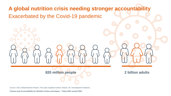**A global nutrition crisis needing stronger accountability** Exacerbated by the Covid-19 pandemic

**820 million people 2 billion adults**

Source: 2021 Global Nutrition Report: The state of global nutrition. Bristol, UK: Development Initiatives.

**Finance and Accountability for Nutrition Action and Impact – Tokyo N4G summit 2021**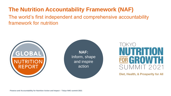### **The Nutrition Accountability Framework (NAF)**

The world's first independent and comprehensive accountability framework for nutrition



**TRITION** FOR GROWT SUMMIT 2021

Diet, Health, & Prosperity for All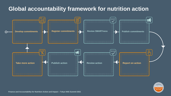#### <span id="page-6-0"></span>**Global accountability framework for nutrition action**





**Finance and Accountability for Nutrition Action and Impact – Tokyo N4G Summit 2021**